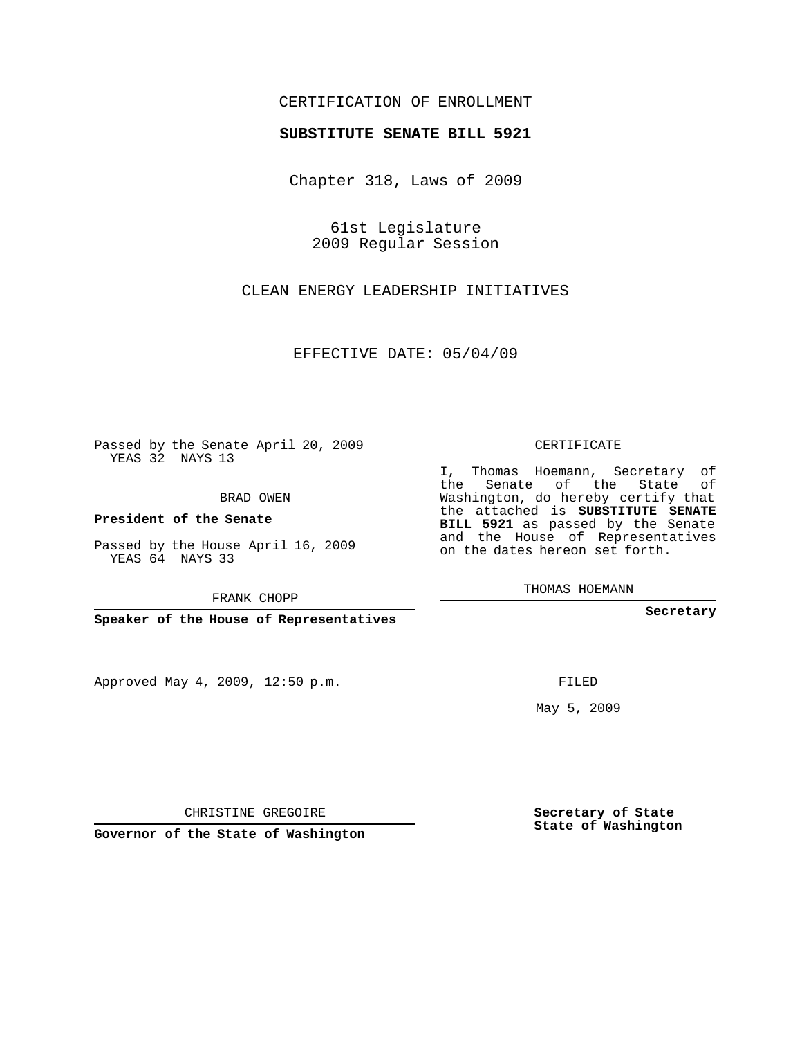## CERTIFICATION OF ENROLLMENT

## **SUBSTITUTE SENATE BILL 5921**

Chapter 318, Laws of 2009

61st Legislature 2009 Regular Session

CLEAN ENERGY LEADERSHIP INITIATIVES

EFFECTIVE DATE: 05/04/09

Passed by the Senate April 20, 2009 YEAS 32 NAYS 13

BRAD OWEN

**President of the Senate**

Passed by the House April 16, 2009 YEAS 64 NAYS 33

FRANK CHOPP

**Speaker of the House of Representatives**

Approved May 4, 2009, 12:50 p.m.

## CERTIFICATE

I, Thomas Hoemann, Secretary of the Senate of the State of Washington, do hereby certify that the attached is **SUBSTITUTE SENATE BILL 5921** as passed by the Senate and the House of Representatives on the dates hereon set forth.

THOMAS HOEMANN

**Secretary**

FILED

May 5, 2009

**Secretary of State State of Washington**

CHRISTINE GREGOIRE

**Governor of the State of Washington**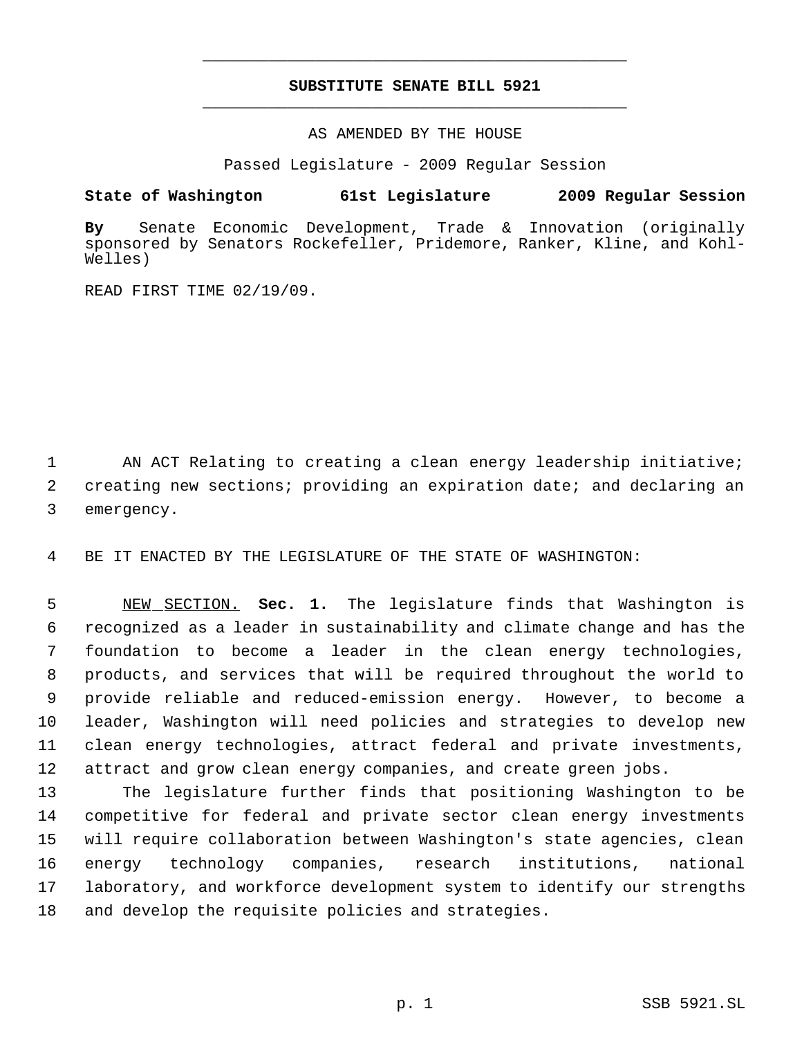## **SUBSTITUTE SENATE BILL 5921** \_\_\_\_\_\_\_\_\_\_\_\_\_\_\_\_\_\_\_\_\_\_\_\_\_\_\_\_\_\_\_\_\_\_\_\_\_\_\_\_\_\_\_\_\_

\_\_\_\_\_\_\_\_\_\_\_\_\_\_\_\_\_\_\_\_\_\_\_\_\_\_\_\_\_\_\_\_\_\_\_\_\_\_\_\_\_\_\_\_\_

AS AMENDED BY THE HOUSE

Passed Legislature - 2009 Regular Session

**State of Washington 61st Legislature 2009 Regular Session**

**By** Senate Economic Development, Trade & Innovation (originally sponsored by Senators Rockefeller, Pridemore, Ranker, Kline, and Kohl-Welles)

READ FIRST TIME 02/19/09.

1 AN ACT Relating to creating a clean energy leadership initiative; 2 creating new sections; providing an expiration date; and declaring an 3 emergency.

4 BE IT ENACTED BY THE LEGISLATURE OF THE STATE OF WASHINGTON:

 NEW SECTION. **Sec. 1.** The legislature finds that Washington is recognized as a leader in sustainability and climate change and has the foundation to become a leader in the clean energy technologies, products, and services that will be required throughout the world to provide reliable and reduced-emission energy. However, to become a leader, Washington will need policies and strategies to develop new clean energy technologies, attract federal and private investments, attract and grow clean energy companies, and create green jobs.

 The legislature further finds that positioning Washington to be competitive for federal and private sector clean energy investments will require collaboration between Washington's state agencies, clean energy technology companies, research institutions, national laboratory, and workforce development system to identify our strengths and develop the requisite policies and strategies.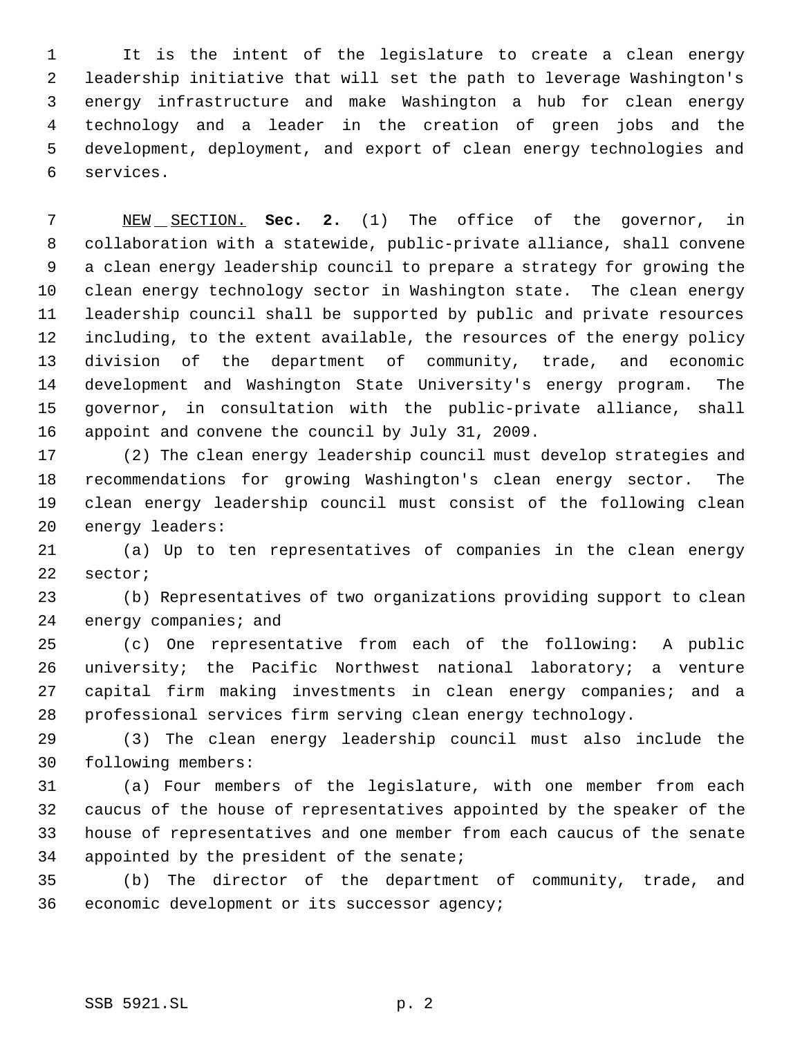It is the intent of the legislature to create a clean energy leadership initiative that will set the path to leverage Washington's energy infrastructure and make Washington a hub for clean energy technology and a leader in the creation of green jobs and the development, deployment, and export of clean energy technologies and services.

 NEW SECTION. **Sec. 2.** (1) The office of the governor, in collaboration with a statewide, public-private alliance, shall convene a clean energy leadership council to prepare a strategy for growing the clean energy technology sector in Washington state. The clean energy leadership council shall be supported by public and private resources including, to the extent available, the resources of the energy policy division of the department of community, trade, and economic development and Washington State University's energy program. The governor, in consultation with the public-private alliance, shall appoint and convene the council by July 31, 2009.

 (2) The clean energy leadership council must develop strategies and recommendations for growing Washington's clean energy sector. The clean energy leadership council must consist of the following clean energy leaders:

 (a) Up to ten representatives of companies in the clean energy sector;

 (b) Representatives of two organizations providing support to clean 24 energy companies; and

 (c) One representative from each of the following: A public university; the Pacific Northwest national laboratory; a venture capital firm making investments in clean energy companies; and a professional services firm serving clean energy technology.

 (3) The clean energy leadership council must also include the following members:

 (a) Four members of the legislature, with one member from each caucus of the house of representatives appointed by the speaker of the house of representatives and one member from each caucus of the senate appointed by the president of the senate;

 (b) The director of the department of community, trade, and economic development or its successor agency;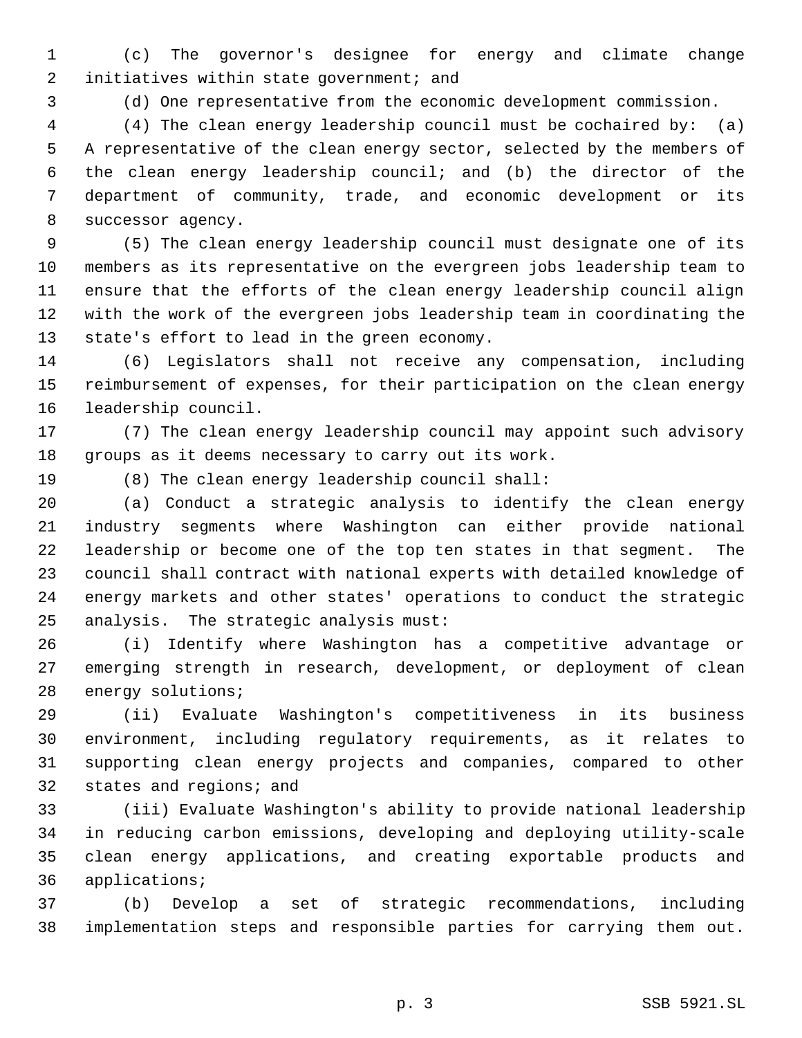(c) The governor's designee for energy and climate change 2 initiatives within state government; and

(d) One representative from the economic development commission.

 (4) The clean energy leadership council must be cochaired by: (a) A representative of the clean energy sector, selected by the members of the clean energy leadership council; and (b) the director of the department of community, trade, and economic development or its successor agency.

 (5) The clean energy leadership council must designate one of its members as its representative on the evergreen jobs leadership team to ensure that the efforts of the clean energy leadership council align with the work of the evergreen jobs leadership team in coordinating the state's effort to lead in the green economy.

 (6) Legislators shall not receive any compensation, including reimbursement of expenses, for their participation on the clean energy leadership council.

 (7) The clean energy leadership council may appoint such advisory groups as it deems necessary to carry out its work.

(8) The clean energy leadership council shall:

 (a) Conduct a strategic analysis to identify the clean energy industry segments where Washington can either provide national leadership or become one of the top ten states in that segment. The council shall contract with national experts with detailed knowledge of energy markets and other states' operations to conduct the strategic analysis. The strategic analysis must:

 (i) Identify where Washington has a competitive advantage or emerging strength in research, development, or deployment of clean energy solutions;

 (ii) Evaluate Washington's competitiveness in its business environment, including regulatory requirements, as it relates to supporting clean energy projects and companies, compared to other states and regions; and

 (iii) Evaluate Washington's ability to provide national leadership in reducing carbon emissions, developing and deploying utility-scale clean energy applications, and creating exportable products and applications;

 (b) Develop a set of strategic recommendations, including implementation steps and responsible parties for carrying them out.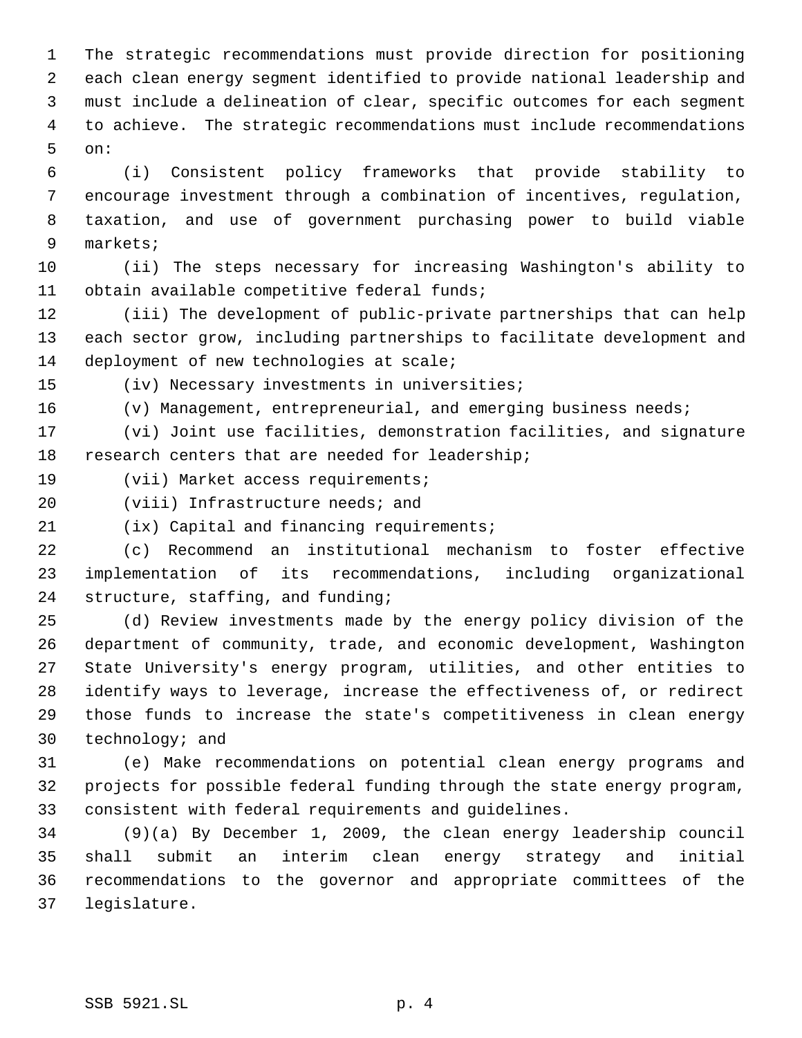The strategic recommendations must provide direction for positioning each clean energy segment identified to provide national leadership and must include a delineation of clear, specific outcomes for each segment to achieve. The strategic recommendations must include recommendations on:

 (i) Consistent policy frameworks that provide stability to encourage investment through a combination of incentives, regulation, taxation, and use of government purchasing power to build viable markets;

 (ii) The steps necessary for increasing Washington's ability to obtain available competitive federal funds;

 (iii) The development of public-private partnerships that can help each sector grow, including partnerships to facilitate development and 14 deployment of new technologies at scale;

(iv) Necessary investments in universities;

(v) Management, entrepreneurial, and emerging business needs;

 (vi) Joint use facilities, demonstration facilities, and signature research centers that are needed for leadership;

(vii) Market access requirements;

(viii) Infrastructure needs; and

(ix) Capital and financing requirements;

 (c) Recommend an institutional mechanism to foster effective implementation of its recommendations, including organizational structure, staffing, and funding;

 (d) Review investments made by the energy policy division of the department of community, trade, and economic development, Washington State University's energy program, utilities, and other entities to identify ways to leverage, increase the effectiveness of, or redirect those funds to increase the state's competitiveness in clean energy technology; and

 (e) Make recommendations on potential clean energy programs and projects for possible federal funding through the state energy program, consistent with federal requirements and guidelines.

 (9)(a) By December 1, 2009, the clean energy leadership council shall submit an interim clean energy strategy and initial recommendations to the governor and appropriate committees of the legislature.